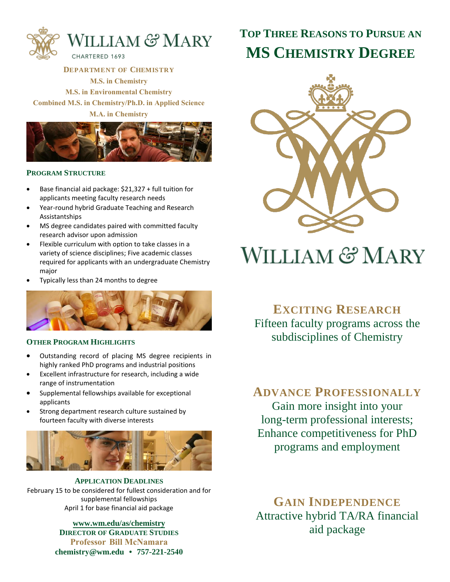

**DEPARTMENT OF CHEMISTRY M.S. in Chemistry M.S. in Environmental Chemistry Combined M.S. in Chemistry/Ph.D. in Applied Science M.A. in Chemistry**



#### **PROGRAM STRUCTURE**

- Base financial aid package: \$21,327 + full tuition for applicants meeting faculty research needs
- Year-round hybrid Graduate Teaching and Research Assistantships
- MS degree candidates paired with committed faculty research advisor upon admission
- Flexible curriculum with option to take classes in a variety of science disciplines; Five academic classes required for applicants with an undergraduate Chemistry major
- Typically less than 24 months to degree



#### **OTHER PROGRAM HIGHLIGHTS**

- Outstanding record of placing MS degree recipients in highly ranked PhD programs and industrial positions
- Excellent infrastructure for research, including a wide range of instrumentation
- Supplemental fellowships available for exceptional applicants
- Strong department research culture sustained by fourteen faculty with diverse interests



**APPLICATION DEADLINES** February 15 to be considered for fullest consideration and for supplemental fellowships April 1 for base financial aid package

> **www.wm.edu/as/chemistry DIRECTOR OF GRADUATE STUDIES Professor Bill McNamara chemistry@wm.edu • 757-221-2540**

## **TOP THREE REASONS TO PURSUE AN MS CHEMISTRY DEGREE**



# **WILLIAM & MARY**

**EXCITING RESEARCH** Fifteen faculty programs across the subdisciplines of Chemistry

### **ADVANCE PROFESSIONALLY**

Gain more insight into your long-term professional interests; Enhance competitiveness for PhD programs and employment

**GAIN INDEPENDENCE** Attractive hybrid TA/RA financial aid package